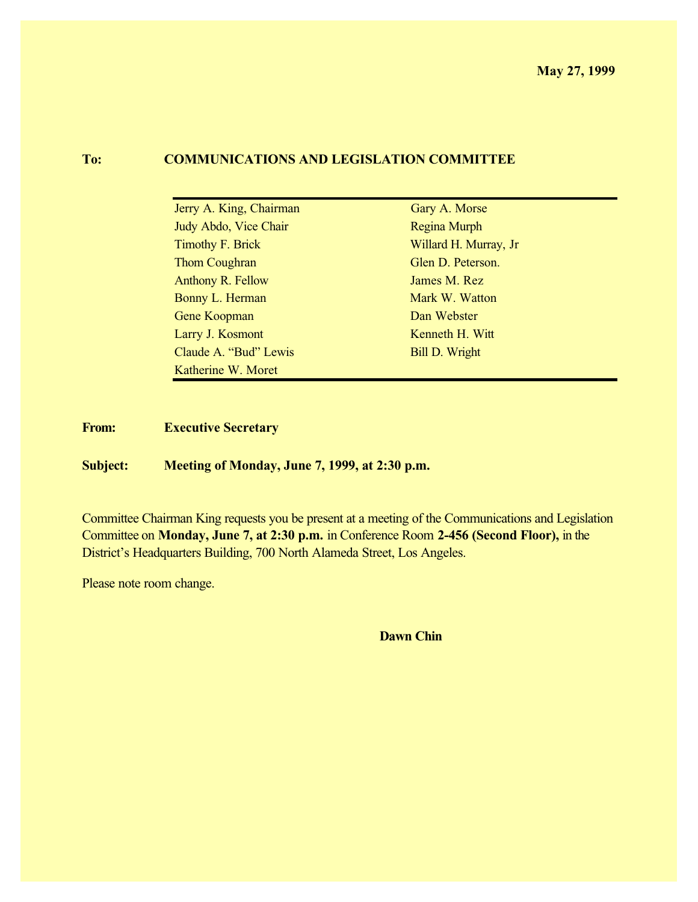## **To: COMMUNICATIONS AND LEGISLATION COMMITTEE**

| Jerry A. King, Chairman | Gary A. Morse         |
|-------------------------|-----------------------|
| Judy Abdo, Vice Chair   | Regina Murph          |
| <b>Timothy F. Brick</b> | Willard H. Murray, Jr |
| Thom Coughran           | Glen D. Peterson.     |
| Anthony R. Fellow       | James M. Rez          |
| Bonny L. Herman         | Mark W. Watton        |
| Gene Koopman            | Dan Webster           |
| Larry J. Kosmont        | Kenneth H. Witt       |
| Claude A. "Bud" Lewis   | <b>Bill D. Wright</b> |
| Katherine W. Moret      |                       |

**From: Executive Secretary**

**Subject: Meeting of Monday, June 7, 1999, at 2:30 p.m.**

Committee Chairman King requests you be present at a meeting of the Communications and Legislation Committee on **Monday, June 7, at 2:30 p.m.** in Conference Room **2-456 (Second Floor),** in the District's Headquarters Building, 700 North Alameda Street, Los Angeles.

Please note room change.

**Dawn Chin**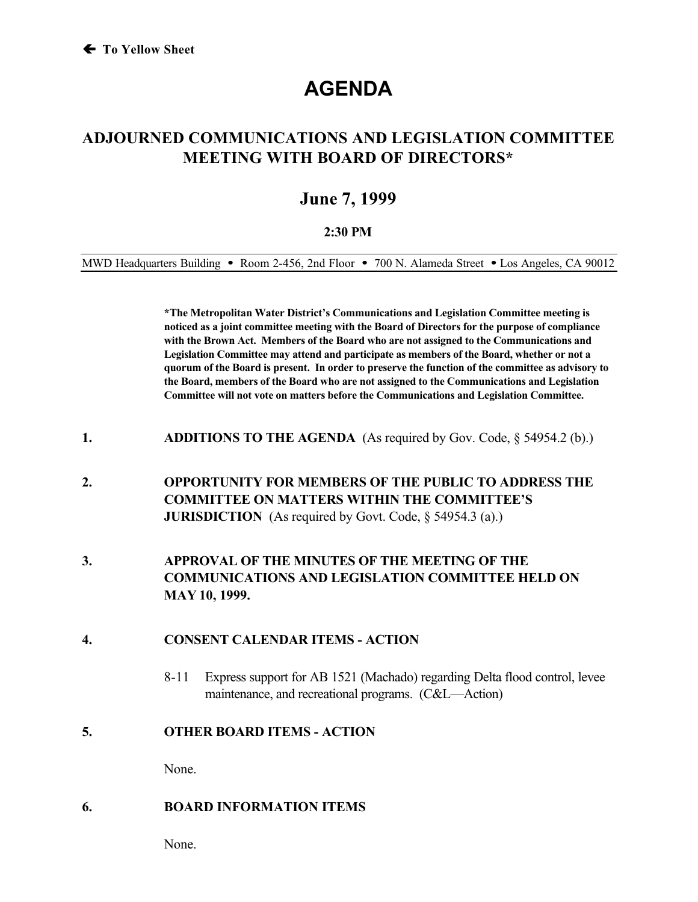# **AGENDA**

# **ADJOURNED COMMUNICATIONS AND LEGISLATION COMMITTEE MEETING WITH BOARD OF DIRECTORS\***

# **June 7, 1999**

### **2:30 PM**

MWD Headquarters Building • Room 2-456, 2nd Floor • 700 N. Alameda Street • Los Angeles, CA 90012

**\*The Metropolitan Water District's Communications and Legislation Committee meeting is noticed as a joint committee meeting with the Board of Directors for the purpose of compliance with the Brown Act. Members of the Board who are not assigned to the Communications and Legislation Committee may attend and participate as members of the Board, whether or not a quorum of the Board is present. In order to preserve the function of the committee as advisory to the Board, members of the Board who are not assigned to the Communications and Legislation Committee will not vote on matters before the Communications and Legislation Committee.**

- **1. ADDITIONS TO THE AGENDA** (As required by Gov. Code, § 54954.2 (b).)
- **2. OPPORTUNITY FOR MEMBERS OF THE PUBLIC TO ADDRESS THE COMMITTEE ON MATTERS WITHIN THE COMMITTEE'S JURISDICTION** (As required by Govt. Code, § 54954.3 (a).)
- **3. APPROVAL OF THE MINUTES OF THE MEETING OF THE COMMUNICATIONS AND LEGISLATION COMMITTEE HELD ON MAY 10, 1999.**

## **4. CONSENT CALENDAR ITEMS - ACTION**

8-11 Express support for AB 1521 (Machado) regarding Delta flood control, levee maintenance, and recreational programs. (C&L—Action)

### **5. OTHER BOARD ITEMS - ACTION**

None.

### **6. BOARD INFORMATION ITEMS**

None.